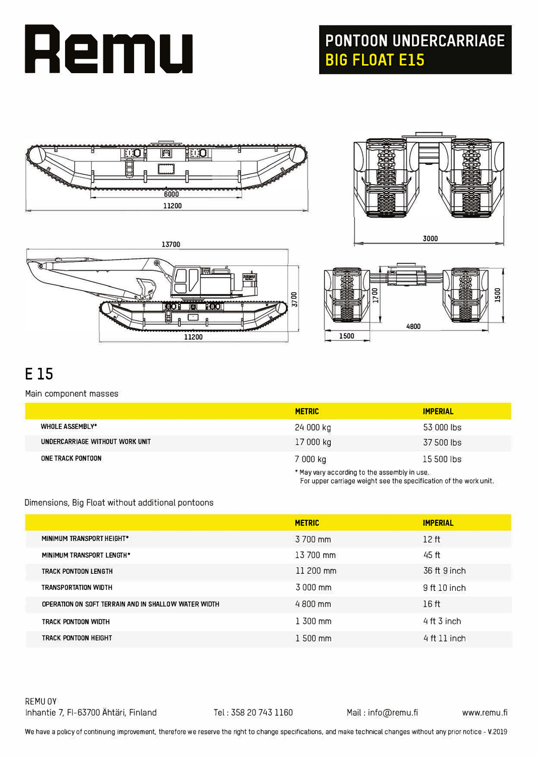

## **PONTOON UNDERCARRIAGE BIG FLOAT ElS**



13700

**11200** 

tool





For upper carriage weight see the specification of the work unit.

## **E 15**

Main component masses

|                                 | <b>METRIC</b> | <b>IMPERIAL</b>                              |  |
|---------------------------------|---------------|----------------------------------------------|--|
| <b>WHOLE ASSEMBLY*</b>          | 24 000 kg     | 53 000 lbs                                   |  |
| UNDERCARRIAGE WITHOUT WORK UNIT | 17 000 kg     | 37 500 lbs                                   |  |
| ONE TRACK PONTOON               | 7 000 kg      | 15 500 lbs                                   |  |
|                                 |               | * May vary according to the assembly in use. |  |

8700

#### Dimensions, Big Float without additional pontoons

|                                                      | <b>METRIC</b>       | <b>IMPERIAL</b>  |
|------------------------------------------------------|---------------------|------------------|
| MINIMUM TRANSPORT HEIGHT*                            | 3 700 mm            | 12 <sub>ft</sub> |
| MINIMUM TRANSPORT LENGTH*                            | 13 700 mm           | 45 ft            |
| TRACK PONTOON LENGTH                                 | $11200$ mm          | 36 ft 9 inch     |
| <b>TRANSPORTATION WIDTH</b>                          | 3 000 mm            | 9 ft 10 inch     |
| OPERATION ON SOFT TERRAIN AND IN SHALLOW WATER WIDTH | $4800 \, \text{mm}$ | 16ft             |
| TRACK PONTOON WIDTH                                  | $1,300$ mm          | $4$ ft $3$ inch  |
| TRACK PONTOON HEIGHT                                 | $1500$ mm           | $4$ ft $11$ inch |